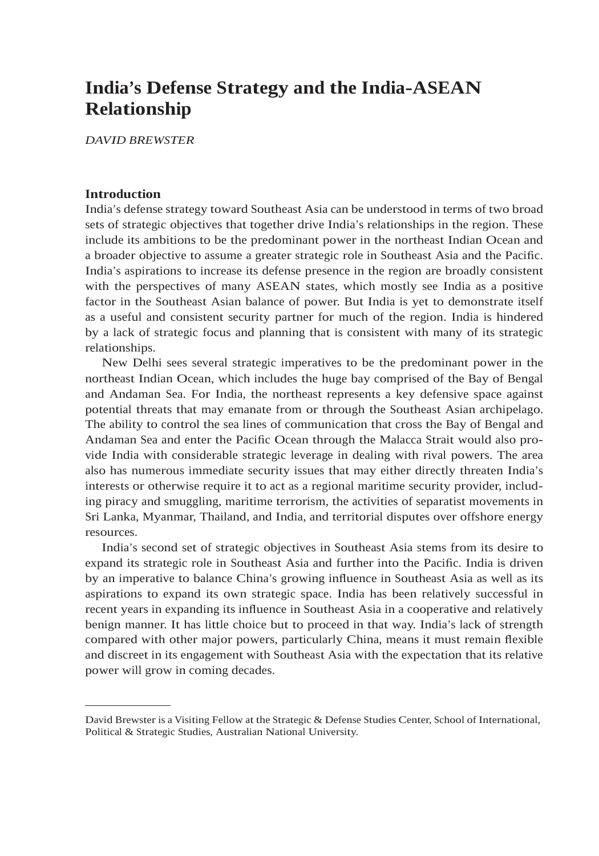# **India's Defense Strategy and the India-ASEAN Relationship**

*DAVID BREWSTER*

## **Introduction**

India's defense strategy toward Southeast Asia can be understood in terms of two broad sets of strategic objectives that together drive India's relationships in the region. These include its ambitions to be the predominant power in the northeast Indian Ocean and a broader objective to assume a greater strategic role in Southeast Asia and the Pacific. India's aspirations to increase its defense presence in the region are broadly consistent with the perspectives of many ASEAN states, which mostly see India as a positive factor in the Southeast Asian balance of power. But India is yet to demonstrate itself as a useful and consistent security partner for much of the region. India is hindered by a lack of strategic focus and planning that is consistent with many of its strategic relationships.

New Delhi sees several strategic imperatives to be the predominant power in the northeast Indian Ocean, which includes the huge bay comprised of the Bay of Bengal and Andaman Sea. For India, the northeast represents a key defensive space against potential threats that may emanate from or through the Southeast Asian archipelago. The ability to control the sea lines of communication that cross the Bay of Bengal and Andaman Sea and enter the Pacific Ocean through the Malacca Strait would also provide India with considerable strategic leverage in dealing with rival powers. The area also has numerous immediate security issues that may either directly threaten India's interests or otherwise require it to act as a regional maritime security provider, including piracy and smuggling, maritime terrorism, the activities of separatist movements in Sri Lanka, Myanmar, Thailand, and India, and territorial disputes over offshore energy resources.

India's second set of strategic objectives in Southeast Asia stems from its desire to expand its strategic role in Southeast Asia and further into the Pacific. India is driven by an imperative to balance China's growing influence in Southeast Asia as well as its aspirations to expand its own strategic space. India has been relatively successful in recent years in expanding its influence in Southeast Asia in a cooperative and relatively benign manner. It has little choice but to proceed in that way. India's lack of strength compared with other major powers, particularly China, means it must remain flexible and discreet in its engagement with Southeast Asia with the expectation that its relative power will grow in coming decades.

David Brewster is a Visiting Fellow at the Strategic & Defense Studies Center, School of International, Political & Strategic Studies, Australian National University.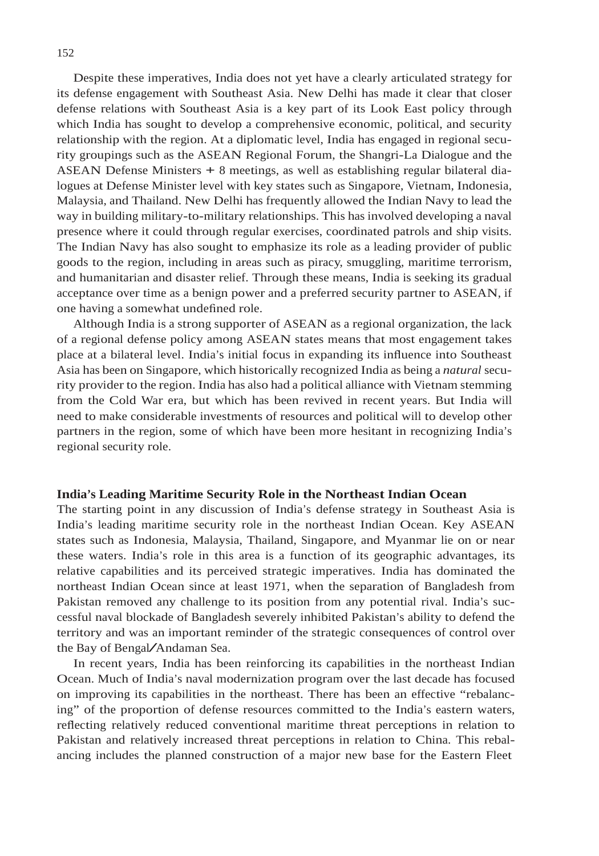Despite these imperatives, India does not yet have a clearly articulated strategy for its defense engagement with Southeast Asia. New Delhi has made it clear that closer defense relations with Southeast Asia is a key part of its Look East policy through which India has sought to develop a comprehensive economic, political, and security relationship with the region. At a diplomatic level, India has engaged in regional security groupings such as the ASEAN Regional Forum, the Shangri-La Dialogue and the ASEAN Defense Ministers  $+ 8$  meetings, as well as establishing regular bilateral dialogues at Defense Minister level with key states such as Singapore, Vietnam, Indonesia, Malaysia, and Thailand. New Delhi has frequently allowed the Indian Navy to lead the way in building military-to-military relationships. This has involved developing a naval presence where it could through regular exercises, coordinated patrols and ship visits. The Indian Navy has also sought to emphasize its role as a leading provider of public goods to the region, including in areas such as piracy, smuggling, maritime terrorism, and humanitarian and disaster relief. Through these means, India is seeking its gradual acceptance over time as a benign power and a preferred security partner to ASEAN, if one having a somewhat undefined role.

Although India is a strong supporter of ASEAN as a regional organization, the lack of a regional defense policy among ASEAN states means that most engagement takes place at a bilateral level. India's initial focus in expanding its influence into Southeast Asia has been on Singapore, which historically recognized India as being a *natural* security provider to the region. India has also had a political alliance with Vietnam stemming from the Cold War era, but which has been revived in recent years. But India will need to make considerable investments of resources and political will to develop other partners in the region, some of which have been more hesitant in recognizing India's regional security role.

## **India's Leading Maritime Security Role in the Northeast Indian Ocean**

The starting point in any discussion of India's defense strategy in Southeast Asia is India's leading maritime security role in the northeast Indian Ocean. Key ASEAN states such as Indonesia, Malaysia, Thailand, Singapore, and Myanmar lie on or near these waters. India's role in this area is a function of its geographic advantages, its relative capabilities and its perceived strategic imperatives. India has dominated the northeast Indian Ocean since at least 1971, when the separation of Bangladesh from Pakistan removed any challenge to its position from any potential rival. India's successful naval blockade of Bangladesh severely inhibited Pakistan's ability to defend the territory and was an important reminder of the strategic consequences of control over the Bay of Bengal*/*Andaman Sea.

In recent years, India has been reinforcing its capabilities in the northeast Indian Ocean. Much of India's naval modernization program over the last decade has focused on improving its capabilities in the northeast. There has been an effective "rebalancing" of the proportion of defense resources committed to the India's eastern waters, reflecting relatively reduced conventional maritime threat perceptions in relation to Pakistan and relatively increased threat perceptions in relation to China. This rebalancing includes the planned construction of a major new base for the Eastern Fleet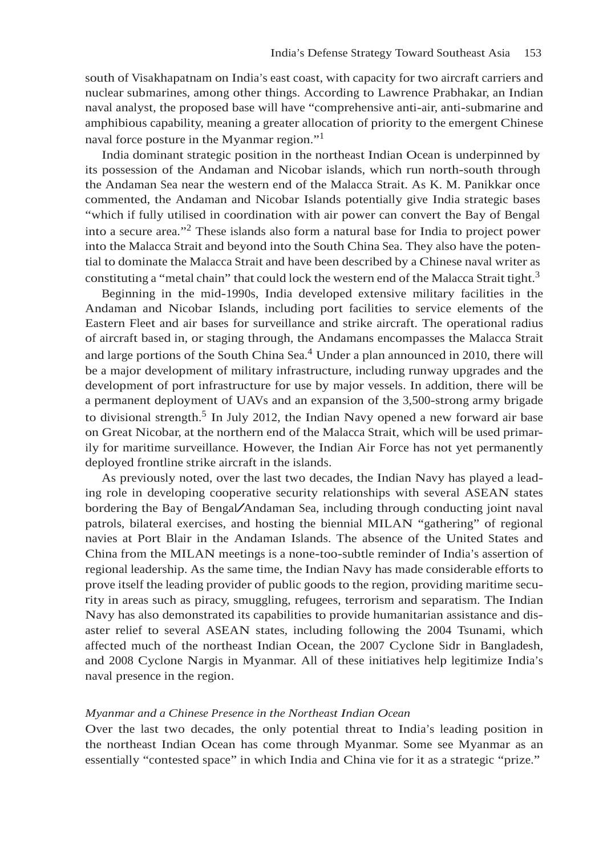south of Visakhapatnam on India's east coast, with capacity for two aircraft carriers and nuclear submarines, among other things. According to Lawrence Prabhakar, an Indian naval analyst, the proposed base will have "comprehensive anti-air, anti-submarine and amphibious capability, meaning a greater allocation of priority to the emergent Chinese naval force posture in the Myanmar region."1

India dominant strategic position in the northeast Indian Ocean is underpinned by its possession of the Andaman and Nicobar islands, which run north-south through the Andaman Sea near the western end of the Malacca Strait. As K. M. Panikkar once commented, the Andaman and Nicobar Islands potentially give India strategic bases "which if fully utilised in coordination with air power can convert the Bay of Bengal into a secure area."2 These islands also form a natural base for India to project power into the Malacca Strait and beyond into the South China Sea. They also have the potential to dominate the Malacca Strait and have been described by a Chinese naval writer as constituting a "metal chain" that could lock the western end of the Malacca Strait tight. $^3$ 

Beginning in the mid-1990s, India developed extensive military facilities in the Andaman and Nicobar Islands, including port facilities to service elements of the Eastern Fleet and air bases for surveillance and strike aircraft. The operational radius of aircraft based in, or staging through, the Andamans encompasses the Malacca Strait and large portions of the South China Sea. <sup>4</sup> Under a plan announced in 2010, there will be a major development of military infrastructure, including runway upgrades and the development of port infrastructure for use by major vessels. In addition, there will be a permanent deployment of UAVs and an expansion of the 3,500-strong army brigade to divisional strength.<sup>5</sup> In July 2012, the Indian Navy opened a new forward air base on Great Nicobar, at the northern end of the Malacca Strait, which will be used primarily for maritime surveillance. However, the Indian Air Force has not yet permanently deployed frontline strike aircraft in the islands.

As previously noted, over the last two decades, the Indian Navy has played a leading role in developing cooperative security relationships with several ASEAN states bordering the Bay of Bengal*/*Andaman Sea, including through conducting joint naval patrols, bilateral exercises, and hosting the biennial MILAN "gathering" of regional navies at Port Blair in the Andaman Islands. The absence of the United States and China from the MILAN meetings is a none-too-subtle reminder of India's assertion of regional leadership. As the same time, the Indian Navy has made considerable efforts to prove itself the leading provider of public goods to the region, providing maritime security in areas such as piracy, smuggling, refugees, terrorism and separatism. The Indian Navy has also demonstrated its capabilities to provide humanitarian assistance and disaster relief to several ASEAN states, including following the 2004 Tsunami, which affected much of the northeast Indian Ocean, the 2007 Cyclone Sidr in Bangladesh, and 2008 Cyclone Nargis in Myanmar. All of these initiatives help legitimize India's naval presence in the region.

#### *Myanmar and a Chinese Presence in the Northeast Indian Ocean*

Over the last two decades, the only potential threat to India's leading position in the northeast Indian Ocean has come through Myanmar. Some see Myanmar as an essentially "contested space" in which India and China vie for it as a strategic "prize."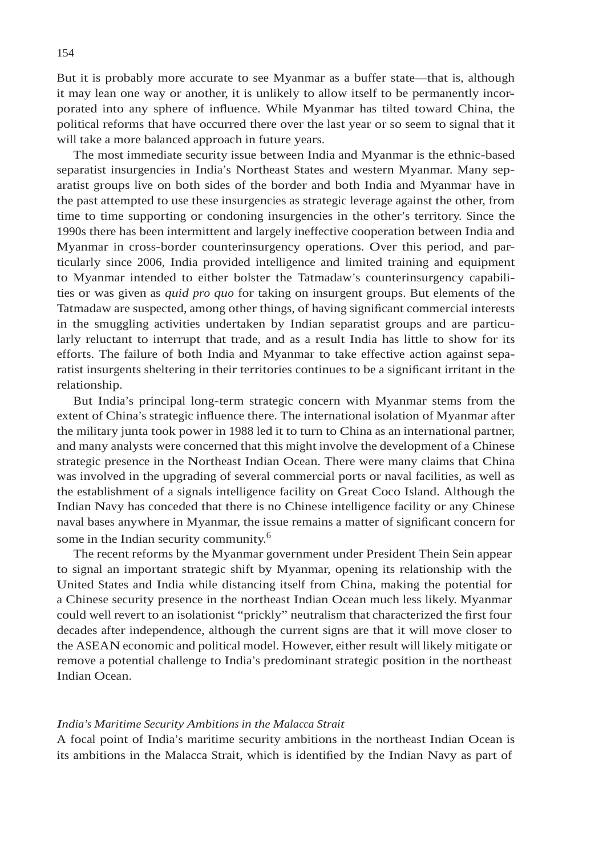But it is probably more accurate to see Myanmar as a buffer state—that is, although it may lean one way or another, it is unlikely to allow itself to be permanently incorporated into any sphere of influence. While Myanmar has tilted toward China, the political reforms that have occurred there over the last year or so seem to signal that it will take a more balanced approach in future years.

The most immediate security issue between India and Myanmar is the ethnic-based separatist insurgencies in India's Northeast States and western Myanmar. Many separatist groups live on both sides of the border and both India and Myanmar have in the past attempted to use these insurgencies as strategic leverage against the other, from time to time supporting or condoning insurgencies in the other's territory. Since the 1990s there has been intermittent and largely ineffective cooperation between India and Myanmar in cross-border counterinsurgency operations. Over this period, and particularly since 2006, India provided intelligence and limited training and equipment to Myanmar intended to either bolster the Tatmadaw's counterinsurgency capabilities or was given as *quid pro quo* for taking on insurgent groups. But elements of the Tatmadaw are suspected, among other things, of having significant commercial interests in the smuggling activities undertaken by Indian separatist groups and are particularly reluctant to interrupt that trade, and as a result India has little to show for its efforts. The failure of both India and Myanmar to take effective action against separatist insurgents sheltering in their territories continues to be a significant irritant in the relationship.

But India's principal long-term strategic concern with Myanmar stems from the extent of China's strategic influence there. The international isolation of Myanmar after the military junta took power in 1988 led it to turn to China as an international partner, and many analysts were concerned that this might involve the development of a Chinese strategic presence in the Northeast Indian Ocean. There were many claims that China was involved in the upgrading of several commercial ports or naval facilities, as well as the establishment of a signals intelligence facility on Great Coco Island. Although the Indian Navy has conceded that there is no Chinese intelligence facility or any Chinese naval bases anywhere in Myanmar, the issue remains a matter of significant concern for some in the Indian security community.<sup>6</sup>

The recent reforms by the Myanmar government under President Thein Sein appear to signal an important strategic shift by Myanmar, opening its relationship with the United States and India while distancing itself from China, making the potential for a Chinese security presence in the northeast Indian Ocean much less likely. Myanmar could well revert to an isolationist "prickly" neutralism that characterized the first four decades after independence, although the current signs are that it will move closer to the ASEAN economic and political model. However, either result will likely mitigate or remove a potential challenge to India's predominant strategic position in the northeast Indian Ocean.

#### *India's Maritime Security Ambitions in the Malacca Strait*

A focal point of India's maritime security ambitions in the northeast Indian Ocean is its ambitions in the Malacca Strait, which is identified by the Indian Navy as part of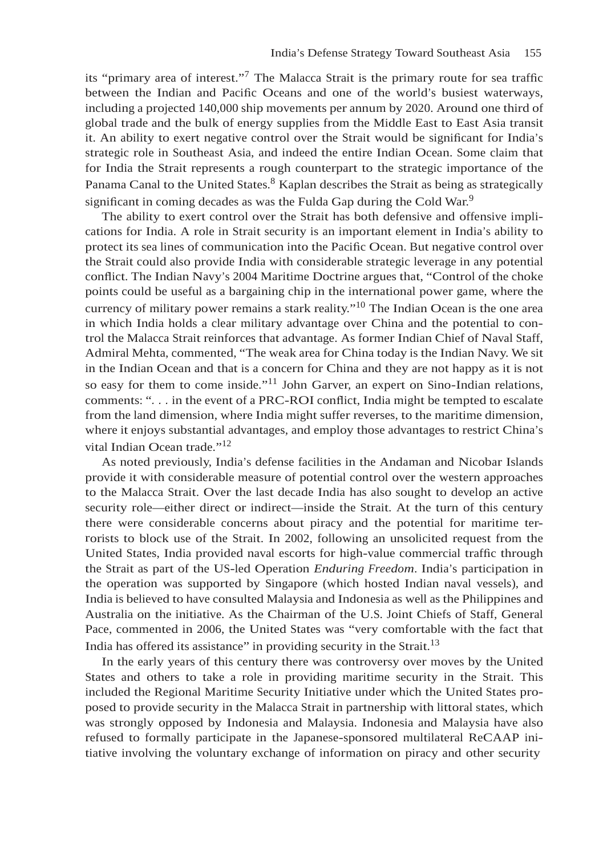its "primary area of interest."7 The Malacca Strait is the primary route for sea traffic between the Indian and Pacific Oceans and one of the world's busiest waterways, including a projected 140,000 ship movements per annum by 2020. Around one third of global trade and the bulk of energy supplies from the Middle East to East Asia transit it. An ability to exert negative control over the Strait would be significant for India's strategic role in Southeast Asia, and indeed the entire Indian Ocean. Some claim that for India the Strait represents a rough counterpart to the strategic importance of the Panama Canal to the United States.<sup>8</sup> Kaplan describes the Strait as being as strategically significant in coming decades as was the Fulda Gap during the Cold War.<sup>9</sup>

The ability to exert control over the Strait has both defensive and offensive implications for India. A role in Strait security is an important element in India's ability to protect its sea lines of communication into the Pacific Ocean. But negative control over the Strait could also provide India with considerable strategic leverage in any potential conflict. The Indian Navy's 2004 Maritime Doctrine argues that, "Control of the choke points could be useful as a bargaining chip in the international power game, where the currency of military power remains a stark reality.<sup> $10$ </sup> The Indian Ocean is the one area in which India holds a clear military advantage over China and the potential to control the Malacca Strait reinforces that advantage. As former Indian Chief of Naval Staff, Admiral Mehta, commented, "The weak area for China today is the Indian Navy. We sit in the Indian Ocean and that is a concern for China and they are not happy as it is not so easy for them to come inside."<sup>11</sup> John Garver, an expert on Sino-Indian relations, comments: "*. . .* in the event of a PRC-ROI conflict, India might be tempted to escalate from the land dimension, where India might suffer reverses, to the maritime dimension, where it enjoys substantial advantages, and employ those advantages to restrict China's vital Indian Ocean trade."<sup>12</sup>

As noted previously, India's defense facilities in the Andaman and Nicobar Islands provide it with considerable measure of potential control over the western approaches to the Malacca Strait. Over the last decade India has also sought to develop an active security role—either direct or indirect—inside the Strait. At the turn of this century there were considerable concerns about piracy and the potential for maritime terrorists to block use of the Strait. In 2002, following an unsolicited request from the United States, India provided naval escorts for high-value commercial traffic through the Strait as part of the US-led Operation *Enduring Freedom*. India's participation in the operation was supported by Singapore (which hosted Indian naval vessels), and India is believed to have consulted Malaysia and Indonesia as well as the Philippines and Australia on the initiative. As the Chairman of the U.S. Joint Chiefs of Staff, General Pace, commented in 2006, the United States was "very comfortable with the fact that India has offered its assistance" in providing security in the Strait.<sup>13</sup>

In the early years of this century there was controversy over moves by the United States and others to take a role in providing maritime security in the Strait. This included the Regional Maritime Security Initiative under which the United States proposed to provide security in the Malacca Strait in partnership with littoral states, which was strongly opposed by Indonesia and Malaysia. Indonesia and Malaysia have also refused to formally participate in the Japanese-sponsored multilateral ReCAAP initiative involving the voluntary exchange of information on piracy and other security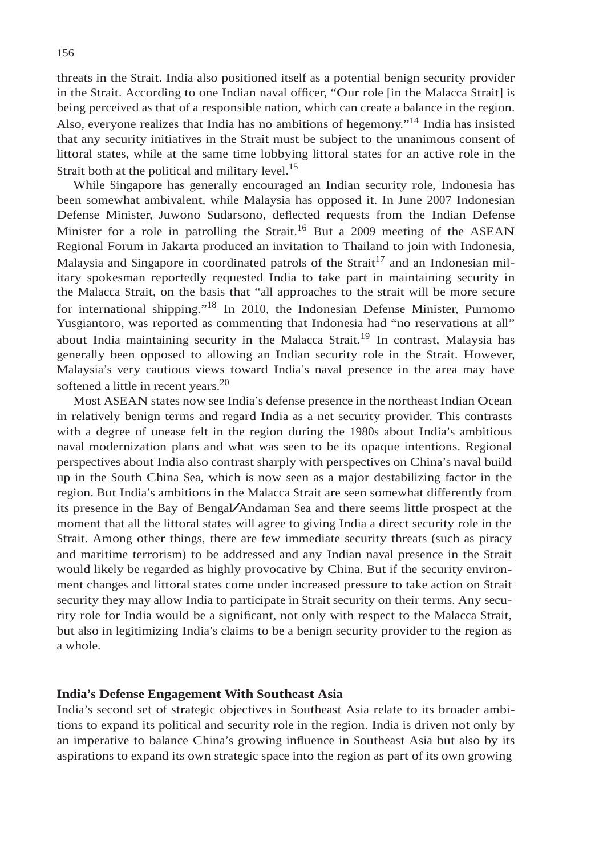threats in the Strait. India also positioned itself as a potential benign security provider in the Strait. According to one Indian naval officer, "Our role [in the Malacca Strait] is being perceived as that of a responsible nation, which can create a balance in the region. Also, everyone realizes that India has no ambitions of hegemony."<sup>14</sup> India has insisted that any security initiatives in the Strait must be subject to the unanimous consent of littoral states, while at the same time lobbying littoral states for an active role in the Strait both at the political and military level.<sup>15</sup>

While Singapore has generally encouraged an Indian security role, Indonesia has been somewhat ambivalent, while Malaysia has opposed it. In June 2007 Indonesian Defense Minister, Juwono Sudarsono, deflected requests from the Indian Defense Minister for a role in patrolling the Strait.<sup>16</sup> But a 2009 meeting of the ASEAN Regional Forum in Jakarta produced an invitation to Thailand to join with Indonesia, Malaysia and Singapore in coordinated patrols of the Strait<sup>17</sup> and an Indonesian military spokesman reportedly requested India to take part in maintaining security in the Malacca Strait, on the basis that "all approaches to the strait will be more secure for international shipping."<sup>18</sup> In 2010, the Indonesian Defense Minister, Purnomo Yusgiantoro, was reported as commenting that Indonesia had "no reservations at all" about India maintaining security in the Malacca Strait.<sup>19</sup> In contrast, Malaysia has generally been opposed to allowing an Indian security role in the Strait. However, Malaysia's very cautious views toward India's naval presence in the area may have softened a little in recent years.<sup>20</sup>

Most ASEAN states now see India's defense presence in the northeast Indian Ocean in relatively benign terms and regard India as a net security provider. This contrasts with a degree of unease felt in the region during the 1980s about India's ambitious naval modernization plans and what was seen to be its opaque intentions. Regional perspectives about India also contrast sharply with perspectives on China's naval build up in the South China Sea, which is now seen as a major destabilizing factor in the region. But India's ambitions in the Malacca Strait are seen somewhat differently from its presence in the Bay of Bengal*/*Andaman Sea and there seems little prospect at the moment that all the littoral states will agree to giving India a direct security role in the Strait. Among other things, there are few immediate security threats (such as piracy and maritime terrorism) to be addressed and any Indian naval presence in the Strait would likely be regarded as highly provocative by China. But if the security environment changes and littoral states come under increased pressure to take action on Strait security they may allow India to participate in Strait security on their terms. Any security role for India would be a significant, not only with respect to the Malacca Strait, but also in legitimizing India's claims to be a benign security provider to the region as a whole.

## **India's Defense Engagement With Southeast Asia**

India's second set of strategic objectives in Southeast Asia relate to its broader ambitions to expand its political and security role in the region. India is driven not only by an imperative to balance China's growing influence in Southeast Asia but also by its aspirations to expand its own strategic space into the region as part of its own growing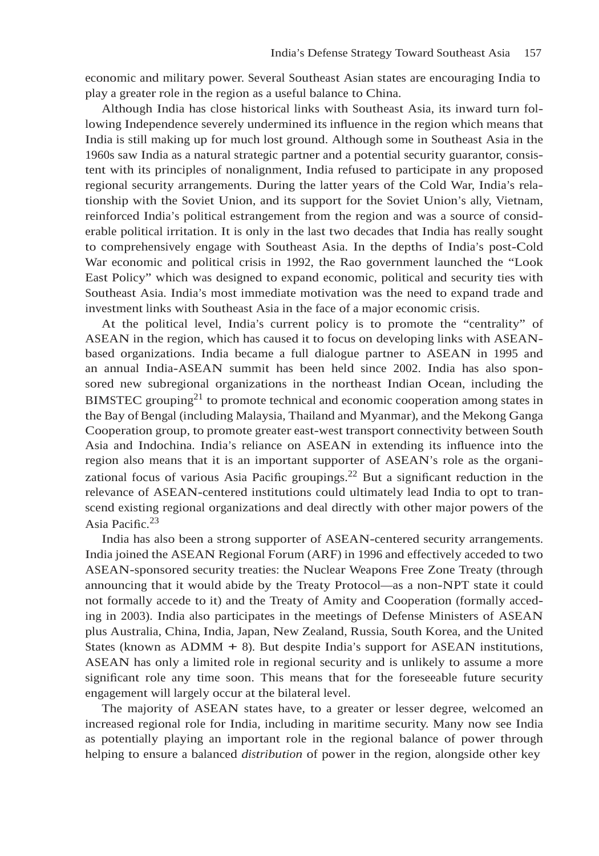economic and military power. Several Southeast Asian states are encouraging India to play a greater role in the region as a useful balance to China.

Although India has close historical links with Southeast Asia, its inward turn following Independence severely undermined its influence in the region which means that India is still making up for much lost ground. Although some in Southeast Asia in the 1960s saw India as a natural strategic partner and a potential security guarantor, consistent with its principles of nonalignment, India refused to participate in any proposed regional security arrangements. During the latter years of the Cold War, India's relationship with the Soviet Union, and its support for the Soviet Union's ally, Vietnam, reinforced India's political estrangement from the region and was a source of considerable political irritation. It is only in the last two decades that India has really sought to comprehensively engage with Southeast Asia. In the depths of India's post-Cold War economic and political crisis in 1992, the Rao government launched the "Look East Policy" which was designed to expand economic, political and security ties with Southeast Asia. India's most immediate motivation was the need to expand trade and investment links with Southeast Asia in the face of a major economic crisis.

At the political level, India's current policy is to promote the "centrality" of ASEAN in the region, which has caused it to focus on developing links with ASEANbased organizations. India became a full dialogue partner to ASEAN in 1995 and an annual India-ASEAN summit has been held since 2002. India has also sponsored new subregional organizations in the northeast Indian Ocean, including the BIMSTEC grouping<sup>21</sup> to promote technical and economic cooperation among states in the Bay of Bengal (including Malaysia, Thailand and Myanmar), and the Mekong Ganga Cooperation group, to promote greater east-west transport connectivity between South Asia and Indochina. India's reliance on ASEAN in extending its influence into the region also means that it is an important supporter of ASEAN's role as the organizational focus of various Asia Pacific groupings.<sup>22</sup> But a significant reduction in the relevance of ASEAN-centered institutions could ultimately lead India to opt to transcend existing regional organizations and deal directly with other major powers of the Asia Pacific.<sup>23</sup>

India has also been a strong supporter of ASEAN-centered security arrangements. India joined the ASEAN Regional Forum (ARF) in 1996 and effectively acceded to two ASEAN-sponsored security treaties: the Nuclear Weapons Free Zone Treaty (through announcing that it would abide by the Treaty Protocol—as a non-NPT state it could not formally accede to it) and the Treaty of Amity and Cooperation (formally acceding in 2003). India also participates in the meetings of Defense Ministers of ASEAN plus Australia, China, India, Japan, New Zealand, Russia, South Korea, and the United States (known as  $ADMM + 8$ ). But despite India's support for ASEAN institutions, ASEAN has only a limited role in regional security and is unlikely to assume a more significant role any time soon. This means that for the foreseeable future security engagement will largely occur at the bilateral level.

The majority of ASEAN states have, to a greater or lesser degree, welcomed an increased regional role for India, including in maritime security. Many now see India as potentially playing an important role in the regional balance of power through helping to ensure a balanced *distribution* of power in the region, alongside other key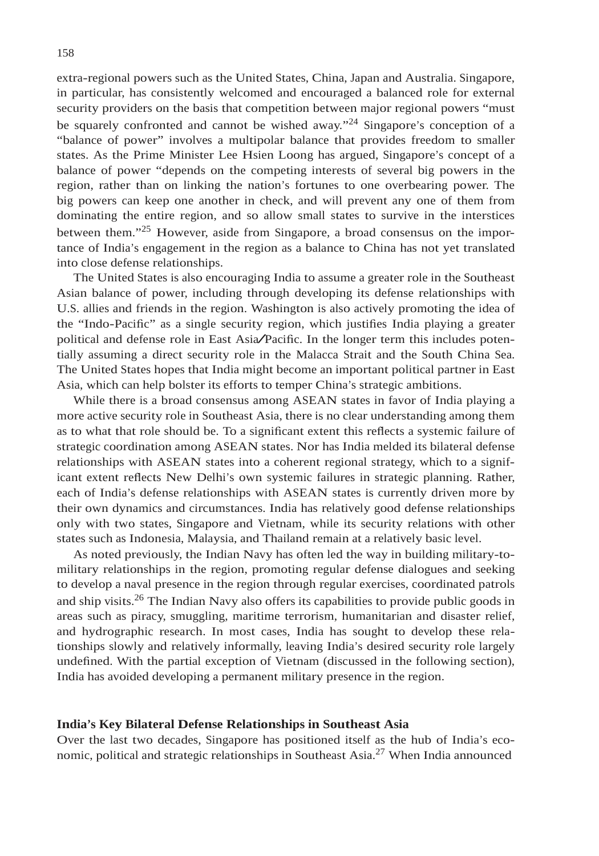extra-regional powers such as the United States, China, Japan and Australia. Singapore, in particular, has consistently welcomed and encouraged a balanced role for external security providers on the basis that competition between major regional powers "must be squarely confronted and cannot be wished away."<sup>24</sup> Singapore's conception of a "balance of power" involves a multipolar balance that provides freedom to smaller states. As the Prime Minister Lee Hsien Loong has argued, Singapore's concept of a balance of power "depends on the competing interests of several big powers in the region, rather than on linking the nation's fortunes to one overbearing power. The big powers can keep one another in check, and will prevent any one of them from dominating the entire region, and so allow small states to survive in the interstices between them."25 However, aside from Singapore, a broad consensus on the importance of India's engagement in the region as a balance to China has not yet translated into close defense relationships.

The United States is also encouraging India to assume a greater role in the Southeast Asian balance of power, including through developing its defense relationships with U.S. allies and friends in the region. Washington is also actively promoting the idea of the "Indo-Pacific" as a single security region, which justifies India playing a greater political and defense role in East Asia*/*Pacific. In the longer term this includes potentially assuming a direct security role in the Malacca Strait and the South China Sea. The United States hopes that India might become an important political partner in East Asia, which can help bolster its efforts to temper China's strategic ambitions.

While there is a broad consensus among ASEAN states in favor of India playing a more active security role in Southeast Asia, there is no clear understanding among them as to what that role should be. To a significant extent this reflects a systemic failure of strategic coordination among ASEAN states. Nor has India melded its bilateral defense relationships with ASEAN states into a coherent regional strategy, which to a significant extent reflects New Delhi's own systemic failures in strategic planning. Rather, each of India's defense relationships with ASEAN states is currently driven more by their own dynamics and circumstances. India has relatively good defense relationships only with two states, Singapore and Vietnam, while its security relations with other states such as Indonesia, Malaysia, and Thailand remain at a relatively basic level.

As noted previously, the Indian Navy has often led the way in building military-tomilitary relationships in the region, promoting regular defense dialogues and seeking to develop a naval presence in the region through regular exercises, coordinated patrols and ship visits.<sup>26</sup> The Indian Navy also offers its capabilities to provide public goods in areas such as piracy, smuggling, maritime terrorism, humanitarian and disaster relief, and hydrographic research. In most cases, India has sought to develop these relationships slowly and relatively informally, leaving India's desired security role largely undefined. With the partial exception of Vietnam (discussed in the following section), India has avoided developing a permanent military presence in the region.

## **India's Key Bilateral Defense Relationships in Southeast Asia**

Over the last two decades, Singapore has positioned itself as the hub of India's economic, political and strategic relationships in Southeast Asia.<sup>27</sup> When India announced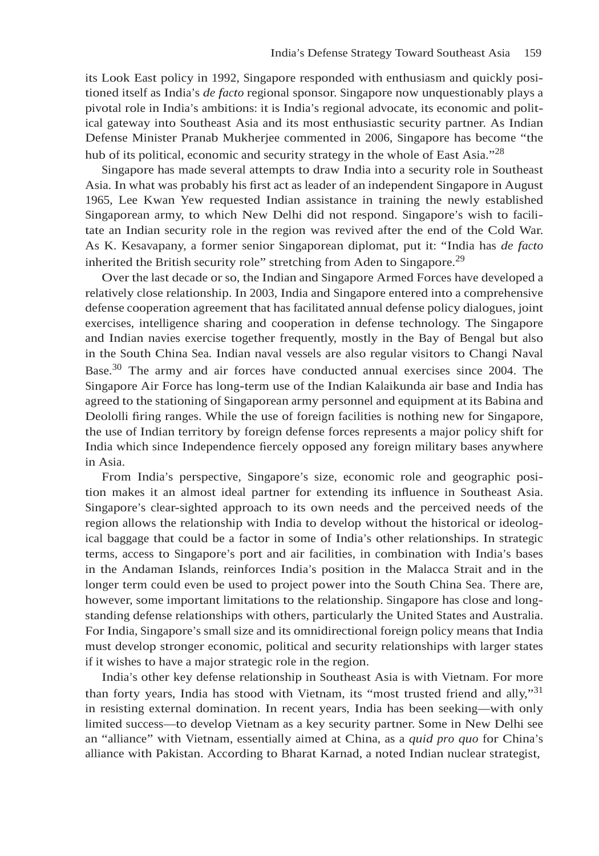its Look East policy in 1992, Singapore responded with enthusiasm and quickly positioned itself as India's *de facto* regional sponsor. Singapore now unquestionably plays a pivotal role in India's ambitions: it is India's regional advocate, its economic and political gateway into Southeast Asia and its most enthusiastic security partner. As Indian Defense Minister Pranab Mukherjee commented in 2006, Singapore has become "the hub of its political, economic and security strategy in the whole of East Asia."<sup>28</sup>

Singapore has made several attempts to draw India into a security role in Southeast Asia. In what was probably his first act as leader of an independent Singapore in August 1965, Lee Kwan Yew requested Indian assistance in training the newly established Singaporean army, to which New Delhi did not respond. Singapore's wish to facilitate an Indian security role in the region was revived after the end of the Cold War. As K. Kesavapany, a former senior Singaporean diplomat, put it: "India has *de facto* inherited the British security role" stretching from Aden to Singapore.<sup>29</sup>

Over the last decade or so, the Indian and Singapore Armed Forces have developed a relatively close relationship. In 2003, India and Singapore entered into a comprehensive defense cooperation agreement that has facilitated annual defense policy dialogues, joint exercises, intelligence sharing and cooperation in defense technology. The Singapore and Indian navies exercise together frequently, mostly in the Bay of Bengal but also in the South China Sea. Indian naval vessels are also regular visitors to Changi Naval Base.<sup>30</sup> The army and air forces have conducted annual exercises since 2004. The Singapore Air Force has long-term use of the Indian Kalaikunda air base and India has agreed to the stationing of Singaporean army personnel and equipment at its Babina and Deololli firing ranges. While the use of foreign facilities is nothing new for Singapore, the use of Indian territory by foreign defense forces represents a major policy shift for India which since Independence fiercely opposed any foreign military bases anywhere in Asia.

From India's perspective, Singapore's size, economic role and geographic position makes it an almost ideal partner for extending its influence in Southeast Asia. Singapore's clear-sighted approach to its own needs and the perceived needs of the region allows the relationship with India to develop without the historical or ideological baggage that could be a factor in some of India's other relationships. In strategic terms, access to Singapore's port and air facilities, in combination with India's bases in the Andaman Islands, reinforces India's position in the Malacca Strait and in the longer term could even be used to project power into the South China Sea. There are, however, some important limitations to the relationship. Singapore has close and longstanding defense relationships with others, particularly the United States and Australia. For India, Singapore's small size and its omnidirectional foreign policy means that India must develop stronger economic, political and security relationships with larger states if it wishes to have a major strategic role in the region.

India's other key defense relationship in Southeast Asia is with Vietnam. For more than forty years, India has stood with Vietnam, its "most trusted friend and ally,"<sup>31</sup> in resisting external domination. In recent years, India has been seeking—with only limited success—to develop Vietnam as a key security partner. Some in New Delhi see an "alliance" with Vietnam, essentially aimed at China, as a *quid pro quo* for China's alliance with Pakistan. According to Bharat Karnad, a noted Indian nuclear strategist,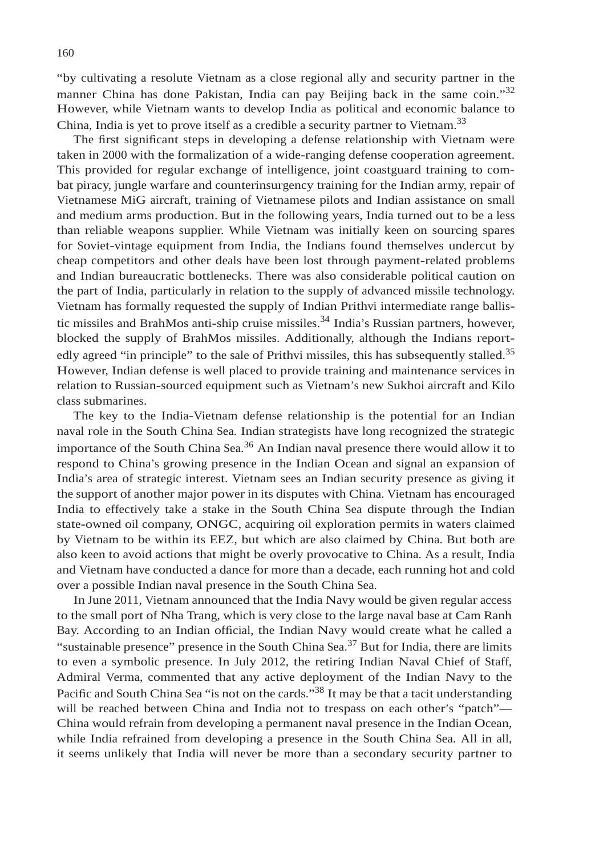"by cultivating a resolute Vietnam as a close regional ally and security partner in the manner China has done Pakistan, India can pay Beijing back in the same coin."<sup>32</sup> However, while Vietnam wants to develop India as political and economic balance to China, India is yet to prove itself as a credible a security partner to Vietnam.<sup>33</sup>

The first significant steps in developing a defense relationship with Vietnam were taken in 2000 with the formalization of a wide-ranging defense cooperation agreement. This provided for regular exchange of intelligence, joint coastguard training to combat piracy, jungle warfare and counterinsurgency training for the Indian army, repair of Vietnamese MiG aircraft, training of Vietnamese pilots and Indian assistance on small and medium arms production. But in the following years, India turned out to be a less than reliable weapons supplier. While Vietnam was initially keen on sourcing spares for Soviet-vintage equipment from India, the Indians found themselves undercut by cheap competitors and other deals have been lost through payment-related problems and Indian bureaucratic bottlenecks. There was also considerable political caution on the part of India, particularly in relation to the supply of advanced missile technology. Vietnam has formally requested the supply of Indian Prithvi intermediate range ballistic missiles and BrahMos anti-ship cruise missiles.<sup>34</sup> India's Russian partners, however, blocked the supply of BrahMos missiles. Additionally, although the Indians reportedly agreed "in principle" to the sale of Prithvi missiles, this has subsequently stalled.<sup>35</sup> However, Indian defense is well placed to provide training and maintenance services in relation to Russian-sourced equipment such as Vietnam's new Sukhoi aircraft and Kilo class submarines.

The key to the India-Vietnam defense relationship is the potential for an Indian naval role in the South China Sea. Indian strategists have long recognized the strategic importance of the South China Sea.<sup>36</sup> An Indian naval presence there would allow it to respond to China's growing presence in the Indian Ocean and signal an expansion of India's area of strategic interest. Vietnam sees an Indian security presence as giving it the support of another major power in its disputes with China. Vietnam has encouraged India to effectively take a stake in the South China Sea dispute through the Indian state-owned oil company, ONGC, acquiring oil exploration permits in waters claimed by Vietnam to be within its EEZ, but which are also claimed by China. But both are also keen to avoid actions that might be overly provocative to China. As a result, India and Vietnam have conducted a dance for more than a decade, each running hot and cold over a possible Indian naval presence in the South China Sea.

In June 2011, Vietnam announced that the India Navy would be given regular access to the small port of Nha Trang, which is very close to the large naval base at Cam Ranh Bay. According to an Indian official, the Indian Navy would create what he called a "sustainable presence" presence in the South China Sea.<sup>37</sup> But for India, there are limits to even a symbolic presence. In July 2012, the retiring Indian Naval Chief of Staff, Admiral Verma, commented that any active deployment of the Indian Navy to the Pacific and South China Sea "is not on the cards."<sup>38</sup> It may be that a tacit understanding will be reached between China and India not to trespass on each other's "patch"— China would refrain from developing a permanent naval presence in the Indian Ocean, while India refrained from developing a presence in the South China Sea. All in all, it seems unlikely that India will never be more than a secondary security partner to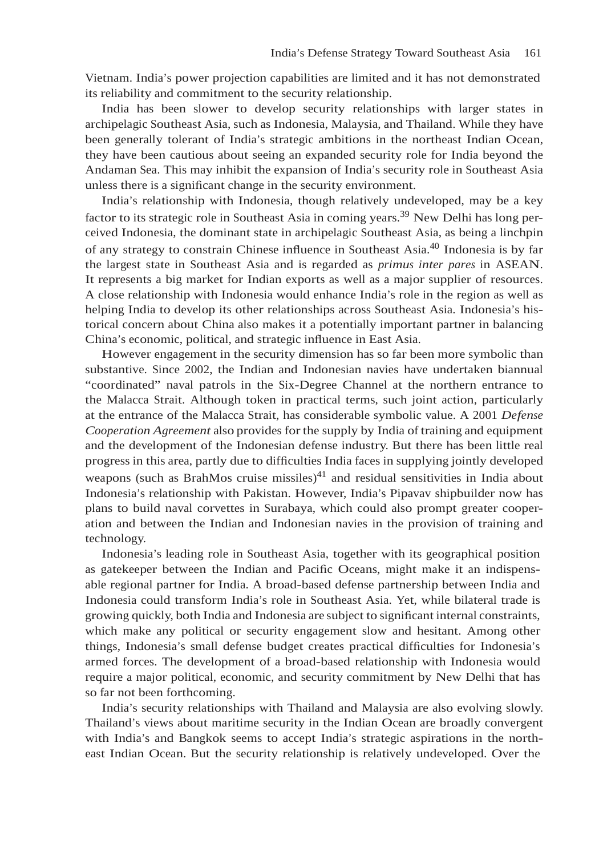Vietnam. India's power projection capabilities are limited and it has not demonstrated its reliability and commitment to the security relationship.

India has been slower to develop security relationships with larger states in archipelagic Southeast Asia, such as Indonesia, Malaysia, and Thailand. While they have been generally tolerant of India's strategic ambitions in the northeast Indian Ocean, they have been cautious about seeing an expanded security role for India beyond the Andaman Sea. This may inhibit the expansion of India's security role in Southeast Asia unless there is a significant change in the security environment.

India's relationship with Indonesia, though relatively undeveloped, may be a key factor to its strategic role in Southeast Asia in coming years.39 New Delhi has long perceived Indonesia, the dominant state in archipelagic Southeast Asia, as being a linchpin of any strategy to constrain Chinese influence in Southeast Asia.<sup>40</sup> Indonesia is by far the largest state in Southeast Asia and is regarded as *primus inter pares* in ASEAN. It represents a big market for Indian exports as well as a major supplier of resources. A close relationship with Indonesia would enhance India's role in the region as well as helping India to develop its other relationships across Southeast Asia. Indonesia's historical concern about China also makes it a potentially important partner in balancing China's economic, political, and strategic influence in East Asia.

However engagement in the security dimension has so far been more symbolic than substantive. Since 2002, the Indian and Indonesian navies have undertaken biannual "coordinated" naval patrols in the Six-Degree Channel at the northern entrance to the Malacca Strait. Although token in practical terms, such joint action, particularly at the entrance of the Malacca Strait, has considerable symbolic value. A 2001 *Defense Cooperation Agreement* also provides forthe supply by India of training and equipment and the development of the Indonesian defense industry. But there has been little real progress in this area, partly due to difficulties India faces in supplying jointly developed weapons (such as BrahMos cruise missiles) $41$  and residual sensitivities in India about Indonesia's relationship with Pakistan. However, India's Pipavav shipbuilder now has plans to build naval corvettes in Surabaya, which could also prompt greater cooperation and between the Indian and Indonesian navies in the provision of training and technology.

Indonesia's leading role in Southeast Asia, together with its geographical position as gatekeeper between the Indian and Pacific Oceans, might make it an indispensable regional partner for India. A broad-based defense partnership between India and Indonesia could transform India's role in Southeast Asia. Yet, while bilateral trade is growing quickly, both India and Indonesia are subject to significant internal constraints, which make any political or security engagement slow and hesitant. Among other things, Indonesia's small defense budget creates practical difficulties for Indonesia's armed forces. The development of a broad-based relationship with Indonesia would require a major political, economic, and security commitment by New Delhi that has so far not been forthcoming.

India's security relationships with Thailand and Malaysia are also evolving slowly. Thailand's views about maritime security in the Indian Ocean are broadly convergent with India's and Bangkok seems to accept India's strategic aspirations in the northeast Indian Ocean. But the security relationship is relatively undeveloped. Over the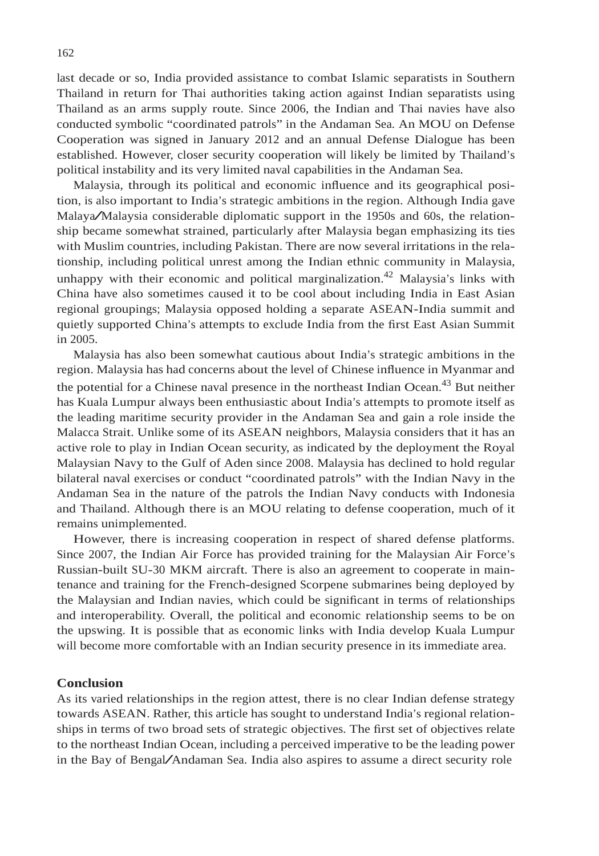last decade or so, India provided assistance to combat Islamic separatists in Southern Thailand in return for Thai authorities taking action against Indian separatists using Thailand as an arms supply route. Since 2006, the Indian and Thai navies have also conducted symbolic "coordinated patrols" in the Andaman Sea. An MOU on Defense Cooperation was signed in January 2012 and an annual Defense Dialogue has been established. However, closer security cooperation will likely be limited by Thailand's political instability and its very limited naval capabilities in the Andaman Sea.

Malaysia, through its political and economic influence and its geographical position, is also important to India's strategic ambitions in the region. Although India gave Malaya*/*Malaysia considerable diplomatic support in the 1950s and 60s, the relationship became somewhat strained, particularly after Malaysia began emphasizing its ties with Muslim countries, including Pakistan. There are now several irritations in the relationship, including political unrest among the Indian ethnic community in Malaysia, unhappy with their economic and political marginalization. <sup>42</sup> Malaysia's links with China have also sometimes caused it to be cool about including India in East Asian regional groupings; Malaysia opposed holding a separate ASEAN-India summit and quietly supported China's attempts to exclude India from the first East Asian Summit in 2005.

Malaysia has also been somewhat cautious about India's strategic ambitions in the region. Malaysia has had concerns about the level of Chinese influence in Myanmar and the potential for a Chinese naval presence in the northeast Indian Ocean.<sup>43</sup> But neither has Kuala Lumpur always been enthusiastic about India's attempts to promote itself as the leading maritime security provider in the Andaman Sea and gain a role inside the Malacca Strait. Unlike some of its ASEAN neighbors, Malaysia considers that it has an active role to play in Indian Ocean security, as indicated by the deployment the Royal Malaysian Navy to the Gulf of Aden since 2008. Malaysia has declined to hold regular bilateral naval exercises or conduct "coordinated patrols" with the Indian Navy in the Andaman Sea in the nature of the patrols the Indian Navy conducts with Indonesia and Thailand. Although there is an MOU relating to defense cooperation, much of it remains unimplemented.

However, there is increasing cooperation in respect of shared defense platforms. Since 2007, the Indian Air Force has provided training for the Malaysian Air Force's Russian-built SU-30 MKM aircraft. There is also an agreement to cooperate in maintenance and training for the French-designed Scorpene submarines being deployed by the Malaysian and Indian navies, which could be significant in terms of relationships and interoperability. Overall, the political and economic relationship seems to be on the upswing. It is possible that as economic links with India develop Kuala Lumpur will become more comfortable with an Indian security presence in its immediate area.

## **Conclusion**

As its varied relationships in the region attest, there is no clear Indian defense strategy towards ASEAN. Rather, this article has sought to understand India's regional relationships in terms of two broad sets of strategic objectives. The first set of objectives relate to the northeast Indian Ocean, including a perceived imperative to be the leading power in the Bay of Bengal*/*Andaman Sea. India also aspires to assume <sup>a</sup> direct security role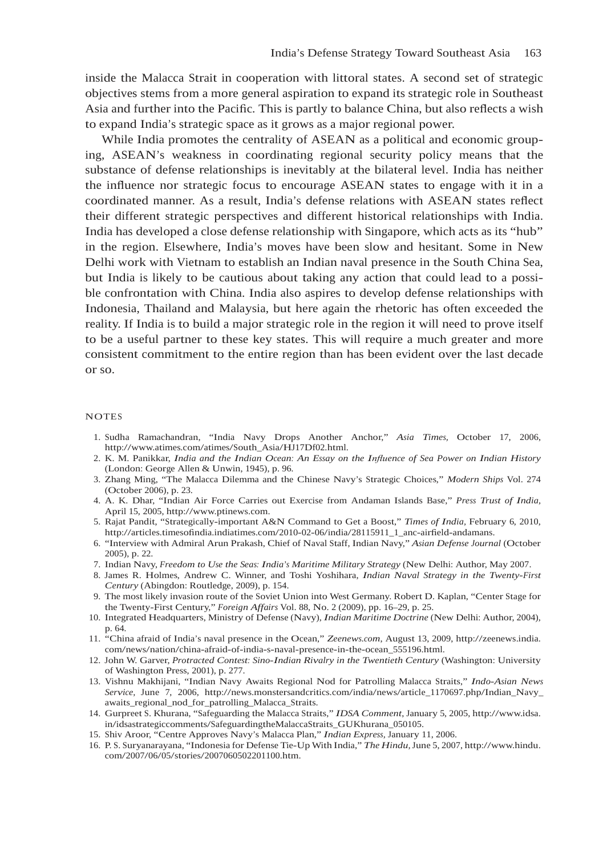inside the Malacca Strait in cooperation with littoral states. A second set of strategic objectives stems from a more general aspiration to expand its strategic role in Southeast Asia and further into the Pacific. This is partly to balance China, but also reflects a wish to expand India's strategic space as it grows as a major regional power.

While India promotes the centrality of ASEAN as a political and economic grouping, ASEAN's weakness in coordinating regional security policy means that the substance of defense relationships is inevitably at the bilateral level. India has neither the influence nor strategic focus to encourage ASEAN states to engage with it in a coordinated manner. As a result, India's defense relations with ASEAN states reflect their different strategic perspectives and different historical relationships with India. India has developed a close defense relationship with Singapore, which acts as its "hub" in the region. Elsewhere, India's moves have been slow and hesitant. Some in New Delhi work with Vietnam to establish an Indian naval presence in the South China Sea, but India is likely to be cautious about taking any action that could lead to a possible confrontation with China. India also aspires to develop defense relationships with Indonesia, Thailand and Malaysia, but here again the rhetoric has often exceeded the reality. If India is to build a major strategic role in the region it will need to prove itself to be a useful partner to these key states. This will require a much greater and more consistent commitment to the entire region than has been evident over the last decade or so.

#### **NOTES**

- 1. Sudha Ramachandran, "India Navy Drops Another Anchor," *Asia Times,* October 17, 2006, http://www.atimes.com/atimes/South\_Asia/HJ17Df02.html.
- 2. K. M. Panikkar, India and the Indian Ocean: An Essay on the Influence of Sea Power on Indian History (London: George Allen & Unwin, 1945), p. 96*.*
- 3. Zhang Ming, "The Malacca Dilemma and the Chinese Navy's Strategic Choices," *Modern Ships* Vol. 274 (October 2006), p. 23.
- 4. A. K. Dhar, "Indian Air Force Carries out Exercise from Andaman Islands Base," *Press Trust of India,* April 15, 2005, http://www.ptinews.com.
- 5. Rajat Pandit, "Strategically-important A&N Command to Get a Boost," *Times of India,* February 6, 2010, http://articles.timesofindia.indiatimes.com/2010-02-06/india/28115911\_1\_anc-airfield-andamans.
- 6. "Interview with Admiral Arun Prakash, Chief of Naval Staff, Indian Navy," *Asian Defense Journal* (October 2005), p. 22.
- 7. Indian Navy, *Freedom to Use the Seas: India's Maritime Military Strategy* (New Delhi: Author, May 2007.
- 8. James R. Holmes, Andrew C. Winner, and Toshi Yoshihara, *Indian Naval Strategy in the Twenty-First Century* (Abingdon: Routledge, 2009), p. 154.
- 9. The most likely invasion route of the Soviet Union into West Germany. Robert D. Kaplan, "Center Stage for the Twenty-First Century," *Foreign Affairs* Vol. 88, No. 2 (2009), pp. 16–29, p. 25.
- 10. Integrated Headquarters, Ministry of Defense (Navy), *Indian Maritime Doctrine* (New Delhi: Author, 2004)*,* p. 64*.*
- 11. "China afraid of India's naval presence in the Ocean," *Zeenews.com*, August 13, 2009, http://zeenews.india. com/news/nation/china-afraid-of-india-s-naval-presence-in-the-ocean\_555196.html.
- 12. John W. Garver, *Protracted Contest: Sino-Indian Rivalry in the Twentieth Century* (Washington: University of Washington Press, 2001), p. 277.
- 13. Vishnu Makhijani, "Indian Navy Awaits Regional Nod for Patrolling Malacca Straits," *Indo-Asian News Service,* June 7, 2006, http://news.monstersandcritics.com/india/news/article\_1170697.php/Indian\_Navy\_ awaits\_regional\_nod\_for\_patrolling\_Malacca\_Straits.
- 14. Gurpreet S. Khurana, "Safeguarding the Malacca Straits," *IDSA Comment*, January 5, 2005, http://www.idsa. in/idsastrategiccomments/SafeguardingtheMalaccaStraits\_GUKhurana\_050105.
- 15. Shiv Aroor, "Centre Approves Navy's Malacca Plan," *Indian Express,* January 11, 2006.
- 16. P. S. Suryanarayana, "Indonesia for Defense Tie-Up With India," *The Hindu,* June 5, 2007, http://www.hindu. com/2007/06/05/stories/2007060502201100.htm.